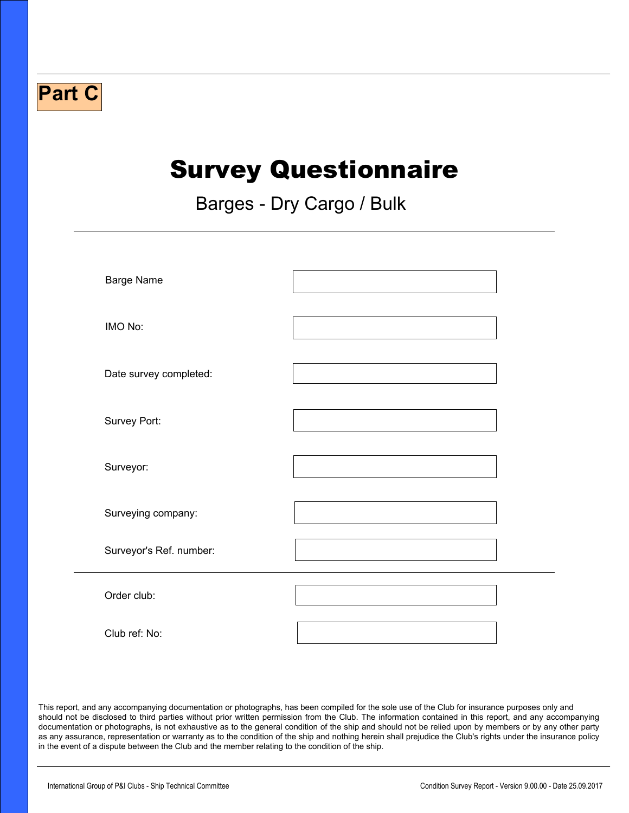## Survey Questionnaire

Barges - Dry Cargo / Bulk

 $\Box$ 

| <b>Barge Name</b>       |  |
|-------------------------|--|
| IMO No:                 |  |
| Date survey completed:  |  |
| Survey Port:            |  |
| Surveyor:               |  |
| Surveying company:      |  |
| Surveyor's Ref. number: |  |
| Order club:             |  |
| Club ref: No:           |  |

This report, and any accompanying documentation or photographs, has been compiled for the sole use of the Club for insurance purposes only and should not be disclosed to third parties without prior written permission from the Club. The information contained in this report, and any accompanying documentation or photographs, is not exhaustive as to the general condition of the ship and should not be relied upon by members or by any other party as any assurance, representation or warranty as to the condition of the ship and nothing herein shall prejudice the Club's rights under the insurance policy in the event of a dispute between the Club and the member relating to the condition of the ship.

**Part C**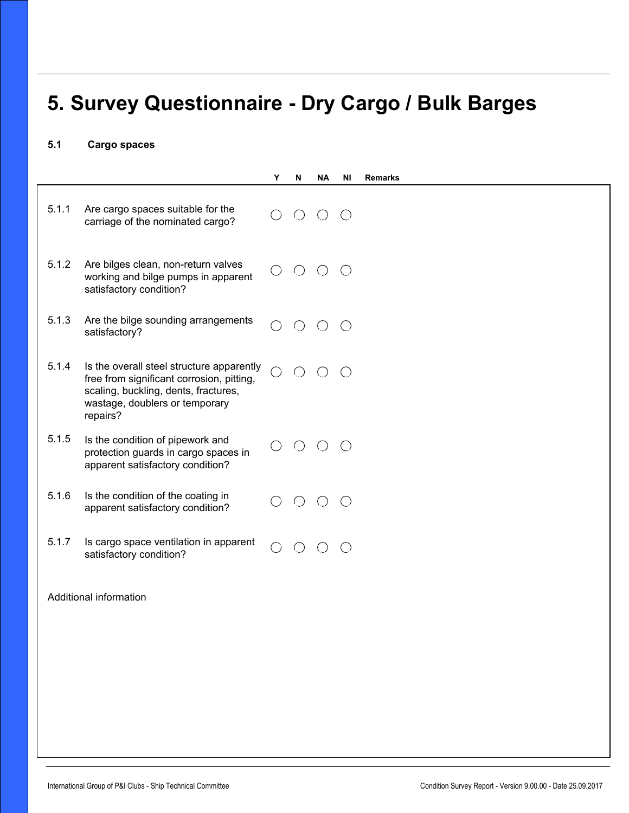## **5. Survey Questionnaire - Dry Cargo / Bulk Barges**

 $\blacktriangleright$ 

## **5.1 Cargo spaces**

|                        |                                                                                                                                                                              | Υ                               | N          | <b>NA</b>                                   | ΝI         | <b>Remarks</b> |
|------------------------|------------------------------------------------------------------------------------------------------------------------------------------------------------------------------|---------------------------------|------------|---------------------------------------------|------------|----------------|
| 5.1.1                  | Are cargo spaces suitable for the<br>carriage of the nominated cargo?                                                                                                        |                                 | $O$ $O$    |                                             | $\bigcirc$ |                |
| 5.1.2                  | Are bilges clean, non-return valves<br>working and bilge pumps in apparent<br>satisfactory condition?                                                                        | $\left(\begin{array}{c}\right)$ | $O$ $O$    |                                             | $\bigcirc$ |                |
| 5.1.3                  | Are the bilge sounding arrangements<br>satisfactory?                                                                                                                         |                                 | $\bigcirc$ | $\bigcirc$                                  | $\bigcirc$ |                |
| 5.1.4                  | Is the overall steel structure apparently<br>free from significant corrosion, pitting,<br>scaling, buckling, dents, fractures,<br>wastage, doublers or temporary<br>repairs? | ○                               | $\bigcirc$ | $\left(\right)$                             | ( )        |                |
| 5.1.5                  | Is the condition of pipework and<br>protection guards in cargo spaces in<br>apparent satisfactory condition?                                                                 |                                 |            | $O$ $O$ $O$                                 |            |                |
| 5.1.6                  | Is the condition of the coating in<br>apparent satisfactory condition?                                                                                                       |                                 | $\bigcirc$ | $\left(\begin{array}{c} \end{array}\right)$ | (          |                |
| 5.1.7                  | Is cargo space ventilation in apparent<br>satisfactory condition?                                                                                                            | $\bigcirc$                      | $\bigcirc$ | $\left(\right)$                             | $\bigcap$  |                |
| Additional information |                                                                                                                                                                              |                                 |            |                                             |            |                |
|                        |                                                                                                                                                                              |                                 |            |                                             |            |                |
|                        |                                                                                                                                                                              |                                 |            |                                             |            |                |
|                        |                                                                                                                                                                              |                                 |            |                                             |            |                |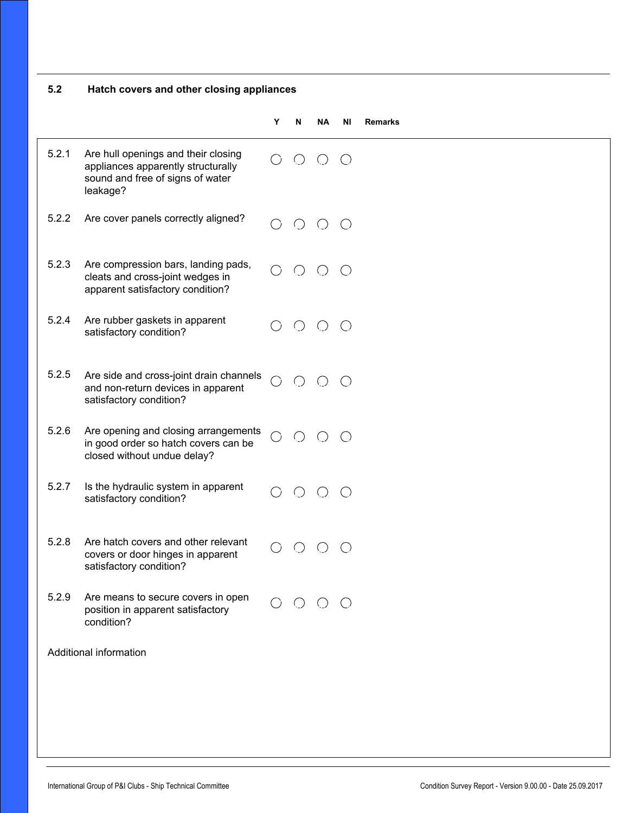| 5.2   | Hatch covers and other closing appliances                                                                                 |           |   |                                                                |    |                |
|-------|---------------------------------------------------------------------------------------------------------------------------|-----------|---|----------------------------------------------------------------|----|----------------|
|       |                                                                                                                           | Y         | N | ΝA                                                             | ΝI | <b>Remarks</b> |
| 5.2.1 | Are hull openings and their closing<br>appliances apparently structurally<br>sound and free of signs of water<br>leakage? |           |   | $O$ $O$ $O$                                                    |    |                |
| 5.2.2 | Are cover panels correctly aligned?                                                                                       |           |   | $O$ $O$ $O$                                                    |    |                |
| 5.2.3 | Are compression bars, landing pads,<br>cleats and cross-joint wedges in<br>apparent satisfactory condition?               |           |   | $O$ $O$ $O$ $O$                                                |    |                |
| 5.2.4 | Are rubber gaskets in apparent<br>satisfactory condition?                                                                 |           |   | $O$ $O$ $O$                                                    |    |                |
| 5.2.5 | Are side and cross-joint drain channels<br>and non-return devices in apparent<br>satisfactory condition?                  |           |   | $O$ $O$ $O$                                                    |    |                |
| 5.2.6 | Are opening and closing arrangements<br>in good order so hatch covers can be<br>closed without undue delay?               | $\bigcap$ |   | $O$ $O$ $O$                                                    |    |                |
| 5.2.7 | Is the hydraulic system in apparent<br>satisfactory condition?                                                            |           |   |                                                                |    |                |
| 5.2.8 | Are hatch covers and other relevant<br>covers or door hinges in apparent<br>satisfactory condition?                       |           |   | $\begin{array}{ccc} \circ & \circ & \circ & \circ \end{array}$ |    |                |
| 5.2.9 | Are means to secure covers in open<br>position in apparent satisfactory<br>condition?                                     |           |   | $\begin{array}{ccc} \circ & \circ & \circ & \circ \end{array}$ |    |                |
|       | Additional information                                                                                                    |           |   |                                                                |    |                |
|       |                                                                                                                           |           |   |                                                                |    |                |
|       |                                                                                                                           |           |   |                                                                |    |                |
|       |                                                                                                                           |           |   |                                                                |    |                |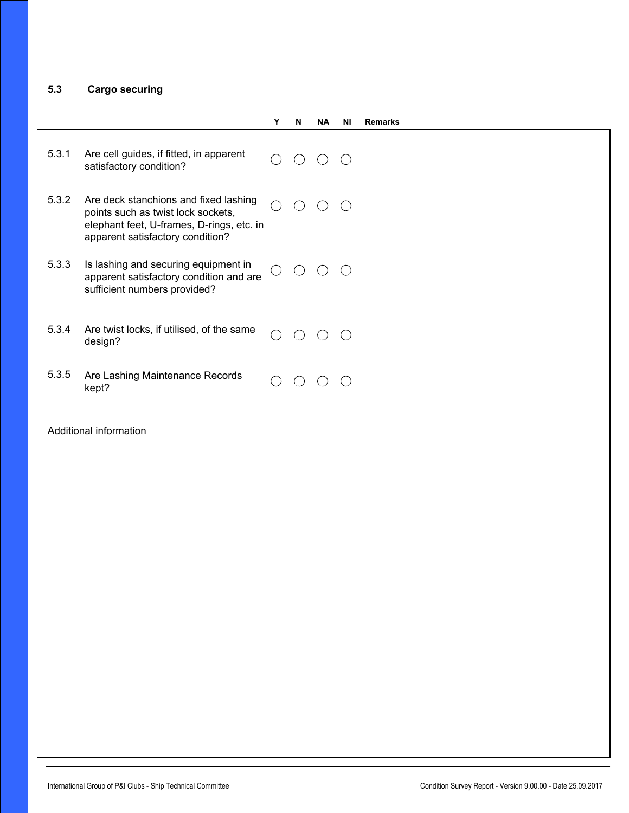**5.3 Cargo securing**

|       |                                                                                                                                                              | Υ | N                                           | <b>NA</b>  | ΝI                                                | <b>Remarks</b> |
|-------|--------------------------------------------------------------------------------------------------------------------------------------------------------------|---|---------------------------------------------|------------|---------------------------------------------------|----------------|
| 5.3.1 | Are cell guides, if fitted, in apparent<br>satisfactory condition?                                                                                           |   | ( )                                         | $()$ $()$  |                                                   |                |
| 5.3.2 | Are deck stanchions and fixed lashing<br>points such as twist lock sockets,<br>elephant feet, U-frames, D-rings, etc. in<br>apparent satisfactory condition? |   | $\left(\begin{array}{c} \end{array}\right)$ | ( )        | $\left(\begin{array}{c} \end{array}\right)$       |                |
| 5.3.3 | Is lashing and securing equipment in<br>apparent satisfactory condition and are<br>sufficient numbers provided?                                              |   | $\bigcirc$                                  | $\bigcirc$ | $\left(\begin{array}{c} \f{c} \end{array}\right)$ |                |
| 5.3.4 | Are twist locks, if utilised, of the same<br>design?                                                                                                         |   | $\bigcap$                                   | $($ )      | $\bigcap$                                         |                |
| 5.3.5 | Are Lashing Maintenance Records<br>kept?                                                                                                                     |   |                                             |            |                                                   |                |

 $\blacktriangleright$ 

Additional information